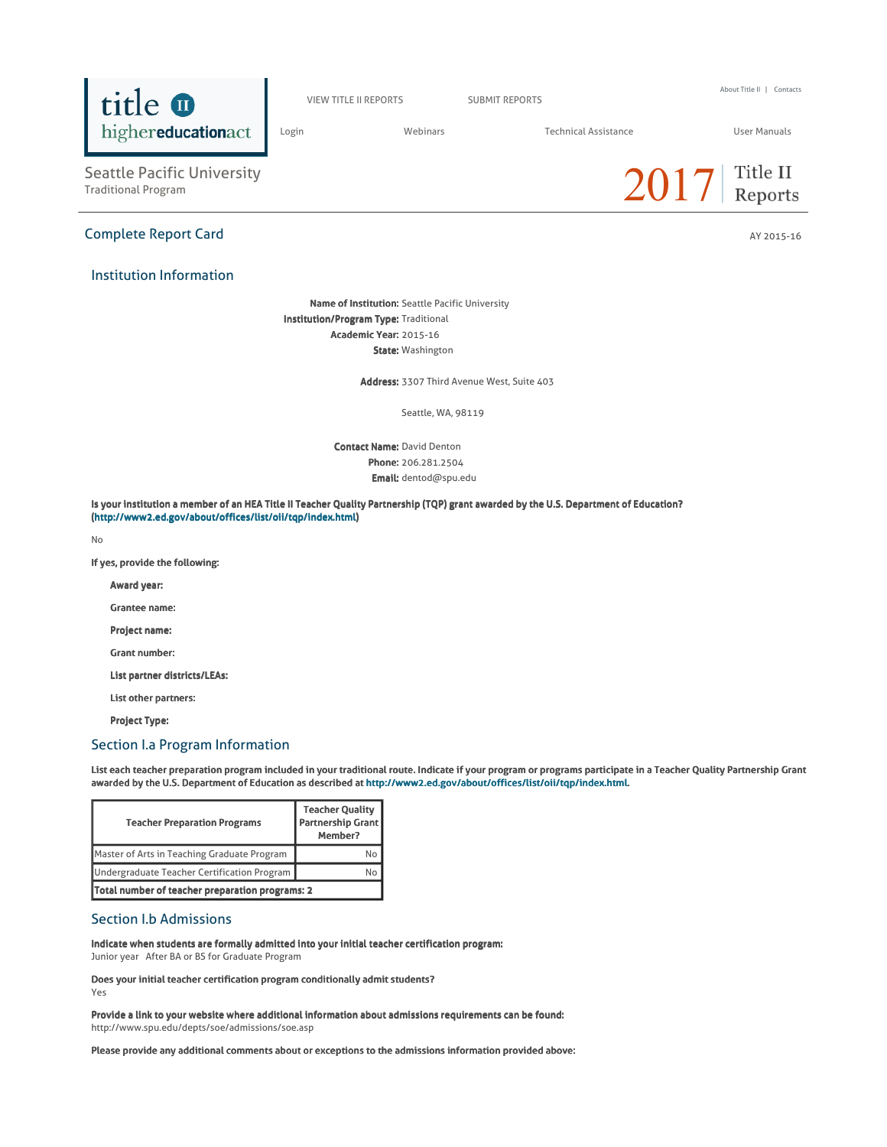

VIEW TITLE II REPORTS SUBMIT REPORTS

About Title II | Contacts

Login Webinars Technical Assistance User Manuals

Title II

 $2017$  Reports

Seattle Pacific University<br>Traditional Program

# Complete Report Card AY 2015-16

# Institution Information

Name of Institution: Seattle Pacific University Institution/Program Type: Traditional Academic Year: 2015-16 State: Washington

Address: 3307 Third Avenue West, Suite 403

Seattle, WA, 98119

Contact Name: David Denton Phone: 206.281.2504 Email: dentod@spu.edu

Is your institution a member of an HEA Title II Teacher Quality Partnership (TQP) grant awarded by the U.S. Department of Education? (http://www2.ed.gov/about/offices/list/oii/tqp/index.html)

No

If yes, provide the following:

Award year:

Grantee name:

Project name:

Grant number:

List partner districts/LEAs:

List other partners:

Project Type:

# Section I.a Program Information

List each teacher preparation program included in your traditional route. Indicate if your program or programs participate in a Teacher Quality Partnership Grant awarded by the U.S. Department of Education as described at http://www2.ed.gov/about/offices/list/oii/tqp/index.html.

| <b>Teacher Preparation Programs</b>             | <b>Teacher Quality</b><br>Partnership Grant<br>Member? |  |
|-------------------------------------------------|--------------------------------------------------------|--|
| Master of Arts in Teaching Graduate Program     |                                                        |  |
| Undergraduate Teacher Certification Program     |                                                        |  |
| Total number of teacher preparation programs: 2 |                                                        |  |

# Section I.b Admissions

Indicate when students are formally admitted into your initial teacher certification program: Junior year After BA or BS for Graduate Program

Does your initial teacher certification program conditionally admit students?

Yes

Provide a link to your website where additional information about admissions requirements can be found: http://www.spu.edu/depts/soe/admissions/soe.asp

Please provide any additional comments about or exceptions to the admissions information provided above: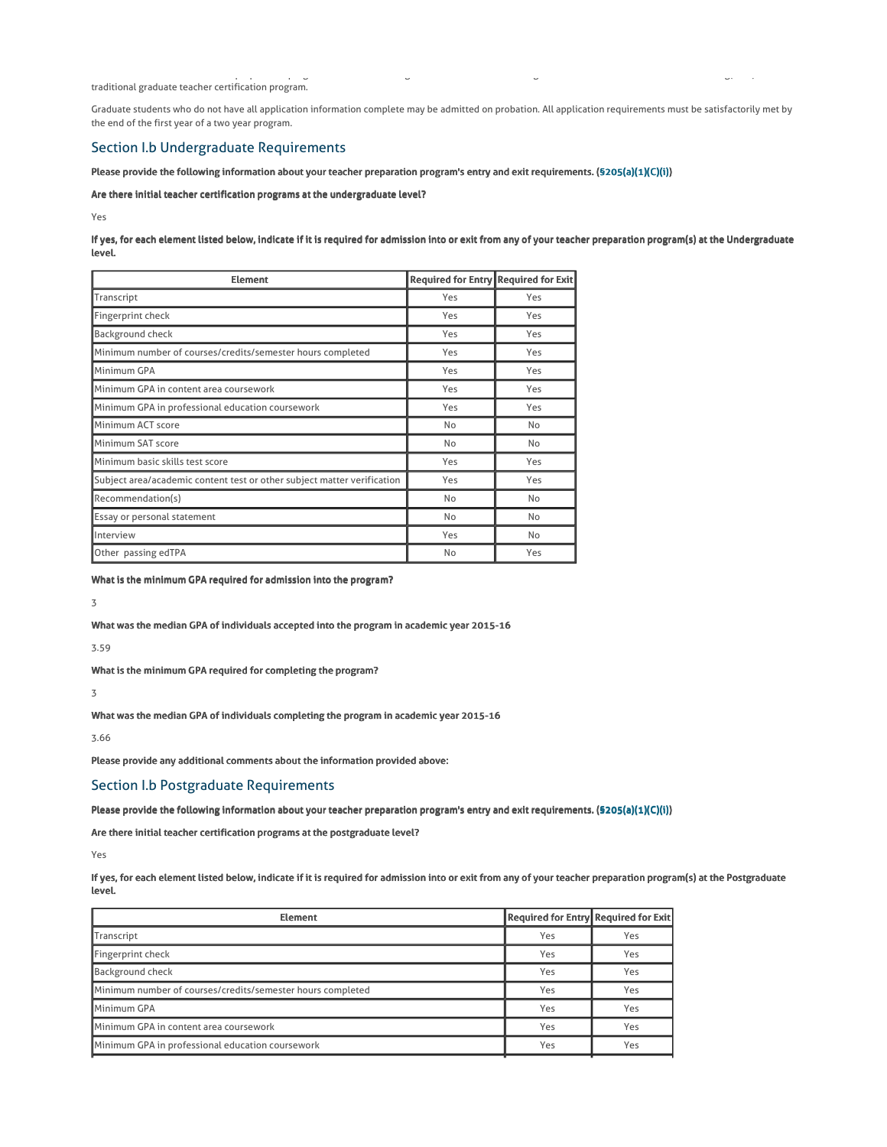traditional graduate teacher certification program.

Graduate students who do not have all application information complete may be admitted on probation. All application requirements must be satisfactorily met by the end of the first year of a two year program.

There are two traditional teacher preparation programs: one at the undergraduate level and one at the graduate level. The Master of Arts in Teaching(MAT) is a

# Section I.b Undergraduate Requirements

### Please provide the following information about your teacher preparation program's entry and exit requirements. (§205(a)(1)(C)(i))

## Are there initial teacher certification programs at the undergraduate level?

Yes

If yes, for each element listed below, indicate if it is required for admission into or exit from any of your teacher preparation program(s) at the Undergraduate level.

| <b>Element</b>                                                          | Required for Entry Required for Exit |     |
|-------------------------------------------------------------------------|--------------------------------------|-----|
| Transcript                                                              | Yes                                  | Yes |
| Fingerprint check                                                       | Yes                                  | Yes |
| Background check                                                        | Yes                                  | Yes |
| Minimum number of courses/credits/semester hours completed              | Yes                                  | Yes |
| Minimum GPA                                                             | Yes                                  | Yes |
| Minimum GPA in content area coursework                                  | Yes                                  | Yes |
| Minimum GPA in professional education coursework                        | Yes                                  | Yes |
| Minimum ACT score                                                       | No                                   | No  |
| Minimum SAT score                                                       | No                                   | No  |
| Minimum basic skills test score                                         | Yes                                  | Yes |
| Subject area/academic content test or other subject matter verification | Yes                                  | Yes |
| Recommendation(s)                                                       | No                                   | No  |
| Essay or personal statement                                             | No                                   | No  |
| Interview                                                               | Yes                                  | No  |
| Other passing edTPA                                                     | No                                   | Yes |

What is the minimum GPA required for admission into the program?

3

What was the median GPA of individuals accepted into the program in academic year 2015-16

3.59

What is the minimum GPA required for completing the program?

3

What was the median GPA of individuals completing the program in academic year 2015-16

3.66

Please provide any additional comments about the information provided above:

# Section I.b Postgraduate Requirements

Please provide the following information about your teacher preparation program's entry and exit requirements. (§205(a)(1)(C)(i))

Are there initial teacher certification programs at the postgraduate level?

Yes

If yes, for each element listed below, indicate if it is required for admission into or exit from any of your teacher preparation program(s) at the Postgraduate level.

| <b>Element</b>                                             | <b>Required for Entry Required for Exit</b> |     |
|------------------------------------------------------------|---------------------------------------------|-----|
| Transcript                                                 | Yes                                         | Yes |
| Fingerprint check                                          | Yes                                         | Yes |
| <b>Background check</b>                                    | Yes                                         | Yes |
| Minimum number of courses/credits/semester hours completed | Yes                                         | Yes |
| Minimum GPA                                                | Yes                                         | Yes |
| Minimum GPA in content area coursework                     | Yes                                         | Yes |
| Minimum GPA in professional education coursework           | Yes                                         | Yes |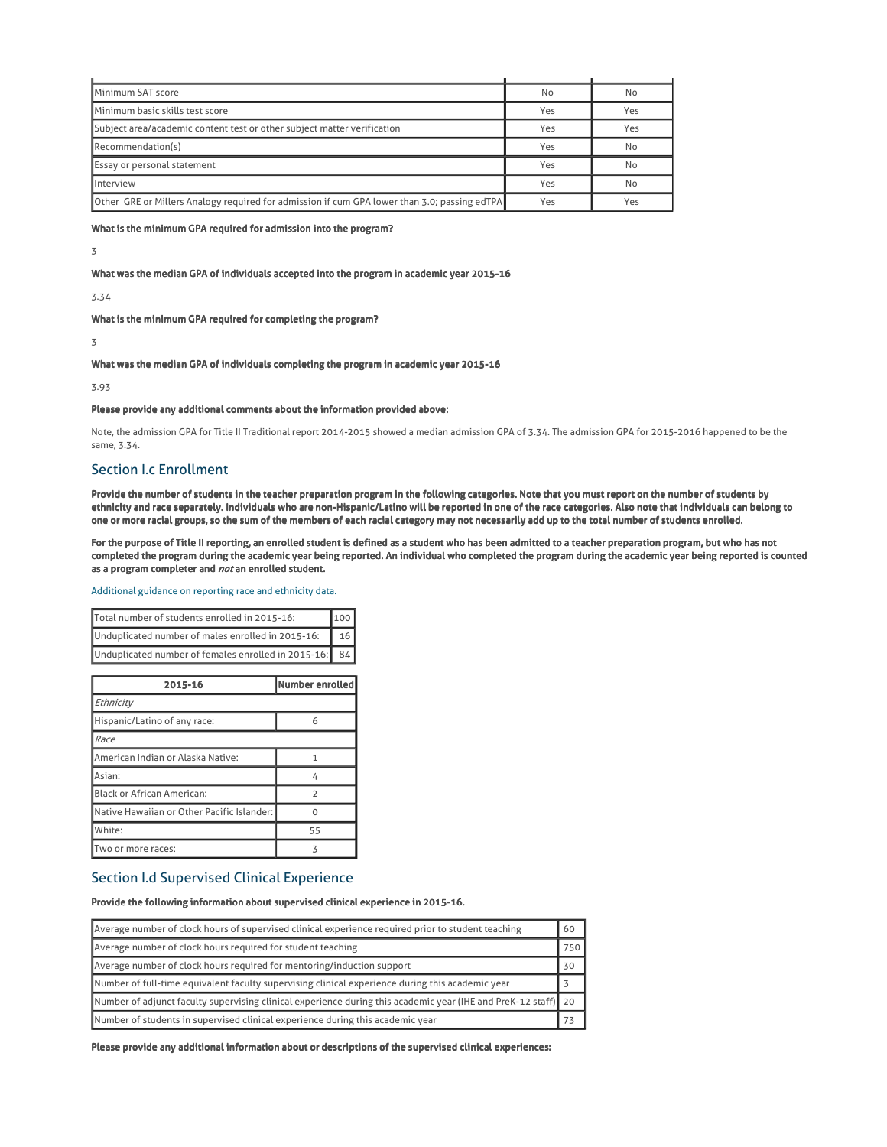| Minimum SAT score                                                                                   | No  | No  |
|-----------------------------------------------------------------------------------------------------|-----|-----|
| Minimum basic skills test score                                                                     | Yes | Yes |
| Subject area/academic content test or other subject matter verification                             | Yes | Yes |
| Recommendation(s)                                                                                   | Yes | No  |
| Essay or personal statement                                                                         | Yes | No  |
| Interview                                                                                           | Yes | No  |
| <b>Other GRE or Millers Analogy required for admission if cum GPA lower than 3.0; passing edTPA</b> | Yes | Yes |

What is the minimum GPA required for admission into the program?

3

### What was the median GPA of individuals accepted into the program in academic year 2015-16

3.34

What is the minimum GPA required for completing the program?

3

# What was the median GPA of individuals completing the program in academic year 2015-16

3.93

### Please provide any additional comments about the information provided above:

Note, the admission GPA for Title II Traditional report 2014-2015 showed a median admission GPA of 3.34. The admission GPA for 2015-2016 happened to be the same, 3.34.

# Section I.c Enrollment

Provide the number of students in the teacher preparation program in the following categories. Note that you must report on the number of students by ethnicity and race separately. Individuals who are non-Hispanic/Latino will be reported in one of the race categories. Also note that individuals can belong to one or more racial groups, so the sum of the members of each racial category may not necessarily add up to the total number of students enrolled.

For the purpose of Title II reporting, an enrolled student is defined as a student who has been admitted to a teacher preparation program, but who has not completed the program during the academic year being reported. An individual who completed the program during the academic year being reported is counted as a program completer and not an enrolled student.

#### Additional guidance on reporting race and ethnicity data.

| Total number of students enrolled in 2015-16:<br>100   |  |
|--------------------------------------------------------|--|
| Unduplicated number of males enrolled in 2015-16:      |  |
| Unduplicated number of females enrolled in 2015-16: 84 |  |

| 2015-16                                    | Number enrolled          |
|--------------------------------------------|--------------------------|
| Ethnicity                                  |                          |
| Hispanic/Latino of any race:               | 6                        |
| Race                                       |                          |
| American Indian or Alaska Native:          |                          |
| Asian:                                     | 4                        |
| Black or African American:                 | $\overline{\phantom{a}}$ |
| Native Hawaiian or Other Pacific Islander: |                          |
| White:                                     | 55                       |
| Two or more races:                         | ᅐ                        |

# Section I.d Supervised Clinical Experience

Provide the following information about supervised clinical experience in 2015-16.

| Average number of clock hours of supervised clinical experience required prior to student teaching             | 60  |
|----------------------------------------------------------------------------------------------------------------|-----|
| Average number of clock hours required for student teaching                                                    | 750 |
| Average number of clock hours required for mentoring/induction support                                         | 30  |
| Number of full-time equivalent faculty supervising clinical experience during this academic year               |     |
| Number of adjunct faculty supervising clinical experience during this academic year (IHE and PreK-12 staff) 20 |     |
| Number of students in supervised clinical experience during this academic year                                 |     |

Please provide any additional information about or descriptions of the supervised clinical experiences: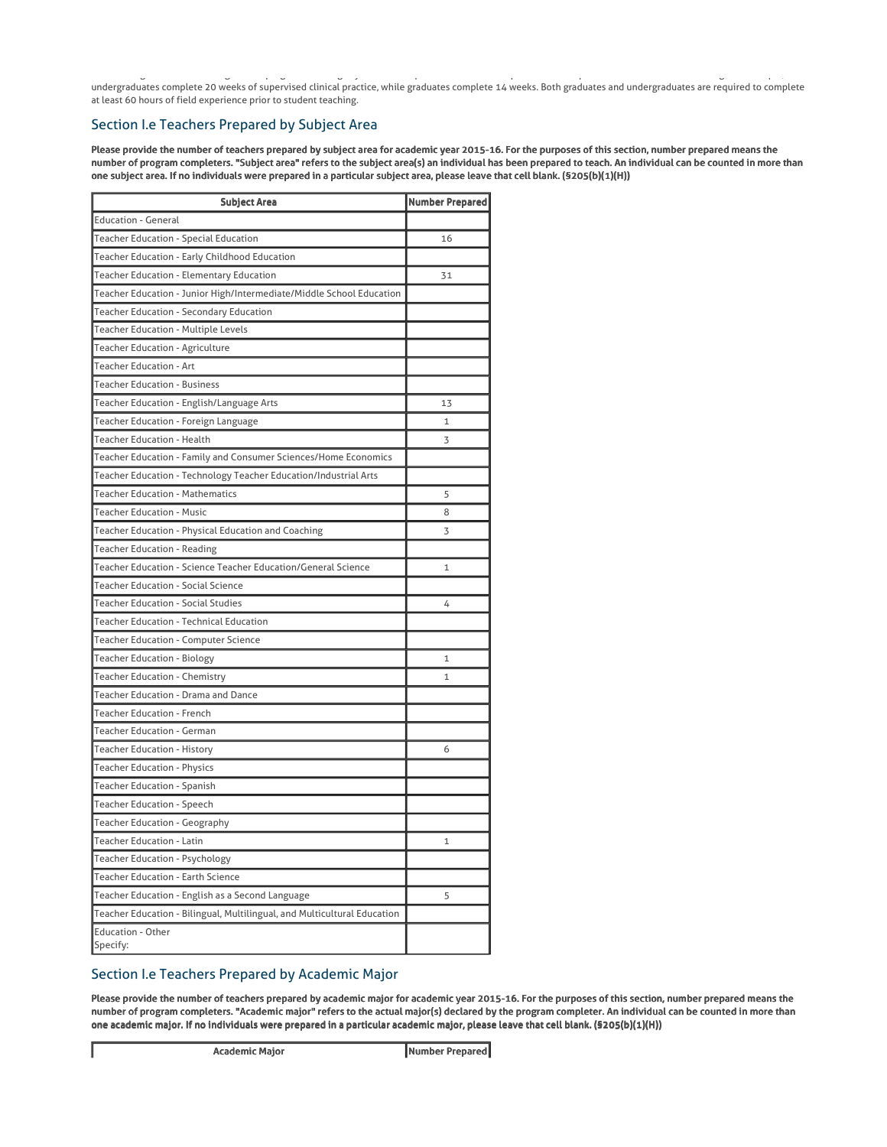Traditional graduate and undergraduate program have slightly different requirements for field experience and supervised clinical student teaching. For example, undergraduates complete 20 weeks of supervised clinical practice, while graduates complete 14 weeks. Both graduates and undergraduates are required to complete at least 60 hours of field experience prior to student teaching.

# Section I.e Teachers Prepared by Subject Area

Please provide the number of teachers prepared by subject area for academic year 2015-16. For the purposes of this section, number prepared means the number of program completers. "Subject area" refers to the subject area(s) an individual has been prepared to teach. An individual can be counted in more than one subject area. If no individuals were prepared in a particular subject area, please leave that cell blank. (§205(b)(1)(H))

| <b>Subject Area</b>                                                      | <b>Number Prepared</b> |
|--------------------------------------------------------------------------|------------------------|
| <b>Education - General</b>                                               |                        |
| Teacher Education - Special Education                                    | 16                     |
| Teacher Education - Early Childhood Education                            |                        |
| Teacher Education - Elementary Education                                 | 31                     |
| Teacher Education - Junior High/Intermediate/Middle School Education     |                        |
| Teacher Education - Secondary Education                                  |                        |
| Teacher Education - Multiple Levels                                      |                        |
| Teacher Education - Agriculture                                          |                        |
| Teacher Education - Art                                                  |                        |
| <b>Teacher Education - Business</b>                                      |                        |
| Teacher Education - English/Language Arts                                | 13                     |
| Teacher Education - Foreign Language                                     | 1                      |
| <b>Teacher Education - Health</b>                                        | 3                      |
| Teacher Education - Family and Consumer Sciences/Home Economics          |                        |
| Teacher Education - Technology Teacher Education/Industrial Arts         |                        |
| <b>Teacher Education - Mathematics</b>                                   | 5                      |
| <b>Teacher Education - Music</b>                                         | 8                      |
| Teacher Education - Physical Education and Coaching                      | 3                      |
| Teacher Education - Reading                                              |                        |
| Teacher Education - Science Teacher Education/General Science            | 1                      |
| Teacher Education - Social Science                                       |                        |
| <b>Teacher Education - Social Studies</b>                                | 4                      |
| Teacher Education - Technical Education                                  |                        |
| Teacher Education - Computer Science                                     |                        |
| Teacher Education - Biology                                              | 1                      |
| Teacher Education - Chemistry                                            | 1                      |
| Teacher Education - Drama and Dance                                      |                        |
| Teacher Education - French                                               |                        |
| Teacher Education - German                                               |                        |
| Teacher Education - History                                              | 6                      |
| Teacher Education - Physics                                              |                        |
| Teacher Education - Spanish                                              |                        |
| Teacher Education - Speech                                               |                        |
| <b>Teacher Education - Geography</b>                                     |                        |
| Teacher Education - Latin                                                |                        |
| Teacher Education - Psychology                                           |                        |
| Teacher Education - Earth Science                                        |                        |
| Teacher Education - English as a Second Language                         | 5                      |
| Teacher Education - Bilingual, Multilingual, and Multicultural Education |                        |
| <b>Education - Other</b>                                                 |                        |
| Specify:                                                                 |                        |

# Section I.e Teachers Prepared by Academic Major

Please provide the number of teachers prepared by academic major for academic year 2015-16. For the purposes of this section, number prepared means the number of program completers. "Academic major" refers to the actual major(s) declared by the program completer. An individual can be counted in more than one academic major. If no individuals were prepared in a particular academic major, please leave that cell blank. (§205(b)(1)(H))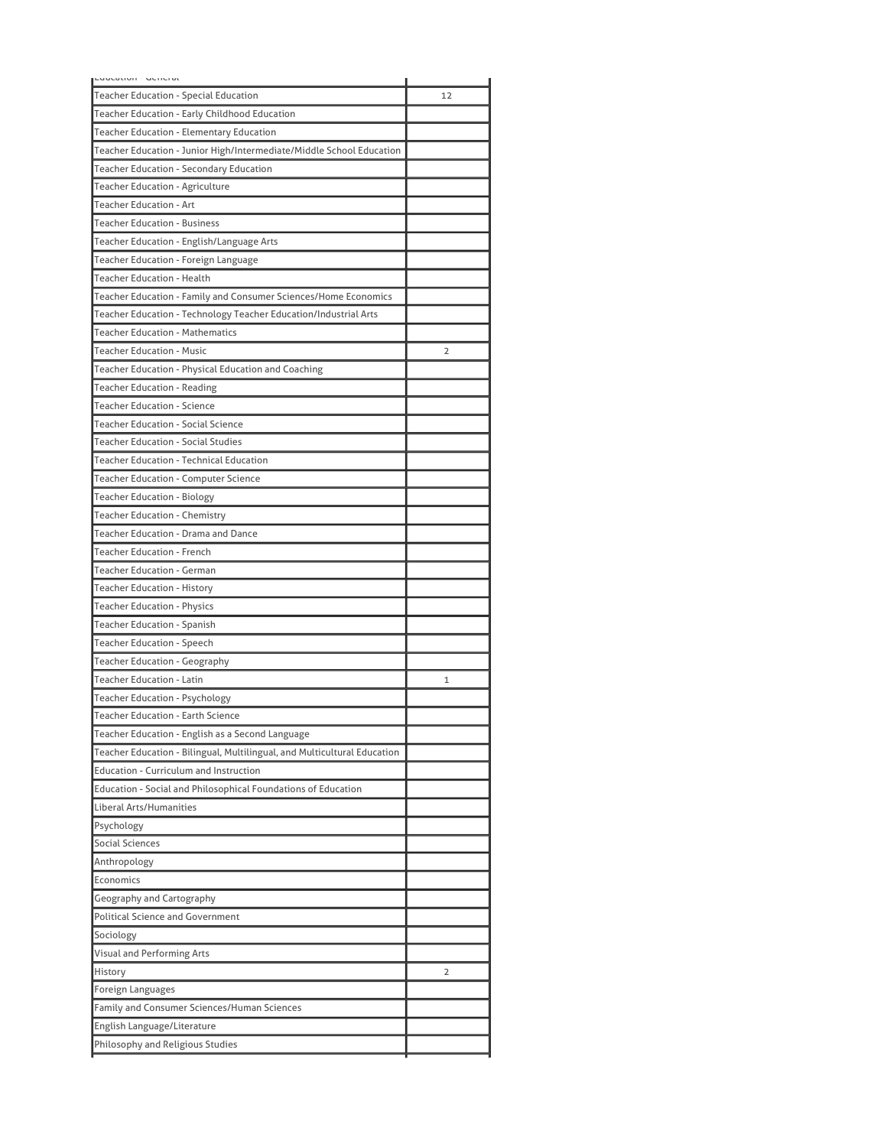| בטטעפנוטון השכווכופג                                                       |                |
|----------------------------------------------------------------------------|----------------|
| Teacher Education - Special Education                                      | 12             |
| Teacher Education - Early Childhood Education                              |                |
| Teacher Education - Elementary Education                                   |                |
| Teacher Education - Junior High/Intermediate/Middle School Education       |                |
| Teacher Education - Secondary Education                                    |                |
| Teacher Education - Agriculture                                            |                |
| Teacher Education - Art                                                    |                |
| <b>Teacher Education - Business</b>                                        |                |
| Teacher Education - English/Language Arts                                  |                |
| Teacher Education - Foreign Language                                       |                |
| <b>Teacher Education - Health</b>                                          |                |
| Teacher Education - Family and Consumer Sciences/Home Economics            |                |
| Teacher Education - Technology Teacher Education/Industrial Arts           |                |
| <b>Teacher Education - Mathematics</b>                                     |                |
| <b>Teacher Education - Music</b>                                           | 2              |
| Teacher Education - Physical Education and Coaching                        |                |
| Teacher Education - Reading                                                |                |
| Teacher Education - Science                                                |                |
| Teacher Education - Social Science                                         |                |
| Teacher Education - Social Studies                                         |                |
| Teacher Education - Technical Education                                    |                |
| Teacher Education - Computer Science                                       |                |
| <b>Teacher Education - Biology</b>                                         |                |
| <b>Teacher Education - Chemistry</b>                                       |                |
| Teacher Education - Drama and Dance                                        |                |
| Teacher Education - French                                                 |                |
| Teacher Education - German                                                 |                |
|                                                                            |                |
| Teacher Education - History                                                |                |
| Teacher Education - Physics                                                |                |
| Teacher Education - Spanish<br>Teacher Education - Speech                  |                |
|                                                                            |                |
| <b>Teacher Education - Geography</b><br>Teacher Education - Latin          |                |
|                                                                            | $\mathbf{1}$   |
| <b>Teacher Education - Psychology</b><br>Teacher Education - Earth Science |                |
|                                                                            |                |
| Teacher Education - English as a Second Language                           |                |
| Teacher Education - Bilingual, Multilingual, and Multicultural Education   |                |
| <b>Education - Curriculum and Instruction</b>                              |                |
| Education - Social and Philosophical Foundations of Education              |                |
| Liberal Arts/Humanities                                                    |                |
| Psychology                                                                 |                |
| Social Sciences                                                            |                |
| Anthropology                                                               |                |
| Economics                                                                  |                |
| Geography and Cartography                                                  |                |
| <b>Political Science and Government</b>                                    |                |
| Sociology                                                                  |                |
| Visual and Performing Arts                                                 |                |
| History                                                                    | $\overline{2}$ |
| Foreign Languages                                                          |                |
| Family and Consumer Sciences/Human Sciences                                |                |
| English Language/Literature                                                |                |
| Philosophy and Religious Studies                                           |                |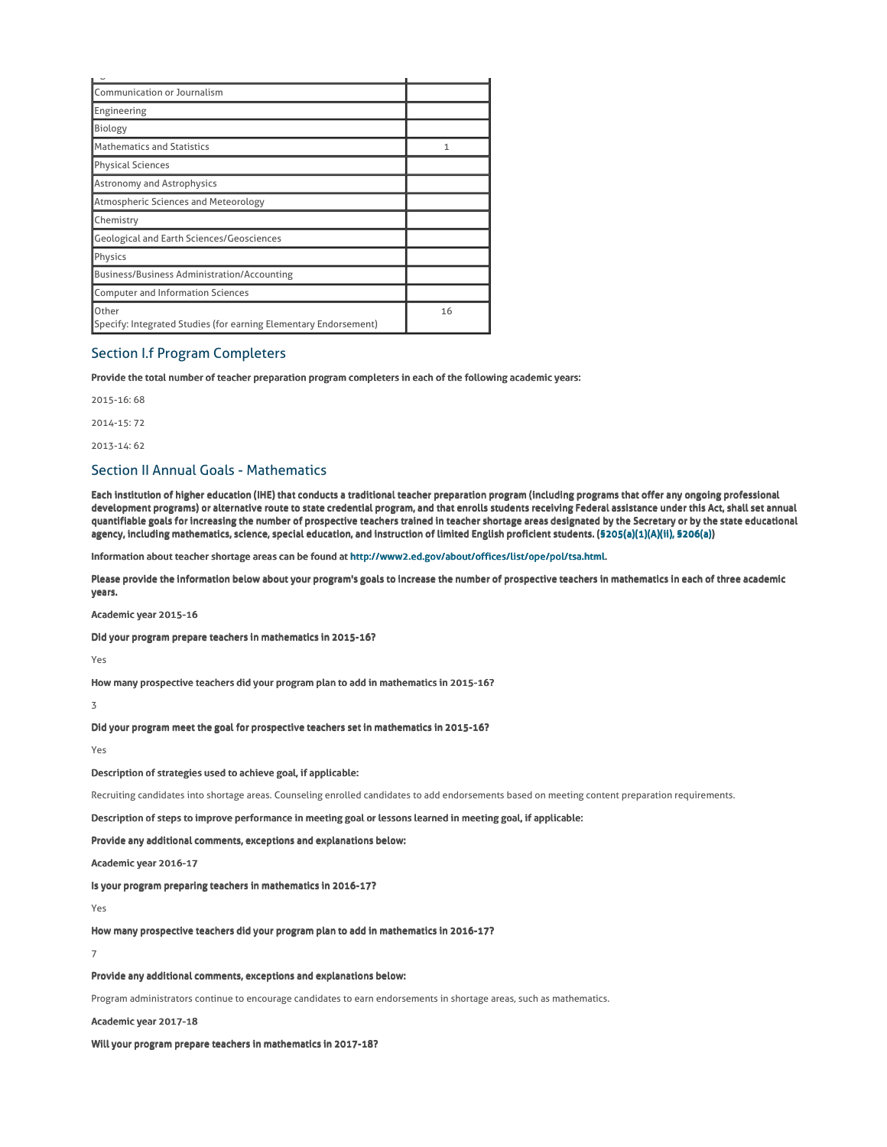| Communication or Journalism                                               |    |
|---------------------------------------------------------------------------|----|
| Engineering                                                               |    |
| Biology                                                                   |    |
| Mathematics and Statistics                                                |    |
| <b>Physical Sciences</b>                                                  |    |
| <b>Astronomy and Astrophysics</b>                                         |    |
| Atmospheric Sciences and Meteorology                                      |    |
| Chemistry                                                                 |    |
| <b>Geological and Earth Sciences/Geosciences</b>                          |    |
| Physics                                                                   |    |
| <b>Business/Business Administration/Accounting</b>                        |    |
| <b>Computer and Information Sciences</b>                                  |    |
| Other<br>Specify: Integrated Studies (for earning Elementary Endorsement) | 16 |

# Section I.f Program Completers

Provide the total number of teacher preparation program completers in each of the following academic years:

2015-16: 68

2014-15: 72

2013-14: 62

# Section II Annual Goals - Mathematics

Each institution of higher education (IHE) that conducts a traditional teacher preparation program (including programs that offer any ongoing professional development programs) or alternative route to state credential program, and that enrolls students receiving Federal assistance under this Act, shall set annual quantifiable goals for increasing the number of prospective teachers trained in teacher shortage areas designated by the Secretary or by the state educational agency, including mathematics, science, special education, and instruction of limited English proficient students. (§205(a)(1)(A)(ii), §206(a))

Information about teacher shortage areas can be found at http://www2.ed.gov/about/offices/list/ope/pol/tsa.html.

Please provide the information below about your program's goals to increase the number of prospective teachers in mathematics in each of three academic years.

#### Academic year 2015-16

Did your program prepare teachers in mathematics in 2015-16?

Yes

How many prospective teachers did your program plan to add in mathematics in 2015-16?

3

Did your program meet the goal for prospective teachers set in mathematics in 2015-16?

Yes

Description of strategies used to achieve goal, if applicable:

Recruiting candidates into shortage areas. Counseling enrolled candidates to add endorsements based on meeting content preparation requirements.

Description of steps to improve performance in meeting goal or lessons learned in meeting goal, if applicable:

Provide any additional comments, exceptions and explanations below:

Academic year 2016-17

Is your program preparing teachers in mathematics in 2016-17?

Yes

How many prospective teachers did your program plan to add in mathematics in 2016-17?

7

## Provide any additional comments, exceptions and explanations below:

Program administrators continue to encourage candidates to earn endorsements in shortage areas, such as mathematics.

## Academic year 2017-18

Will your program prepare teachers in mathematics in 2017-18?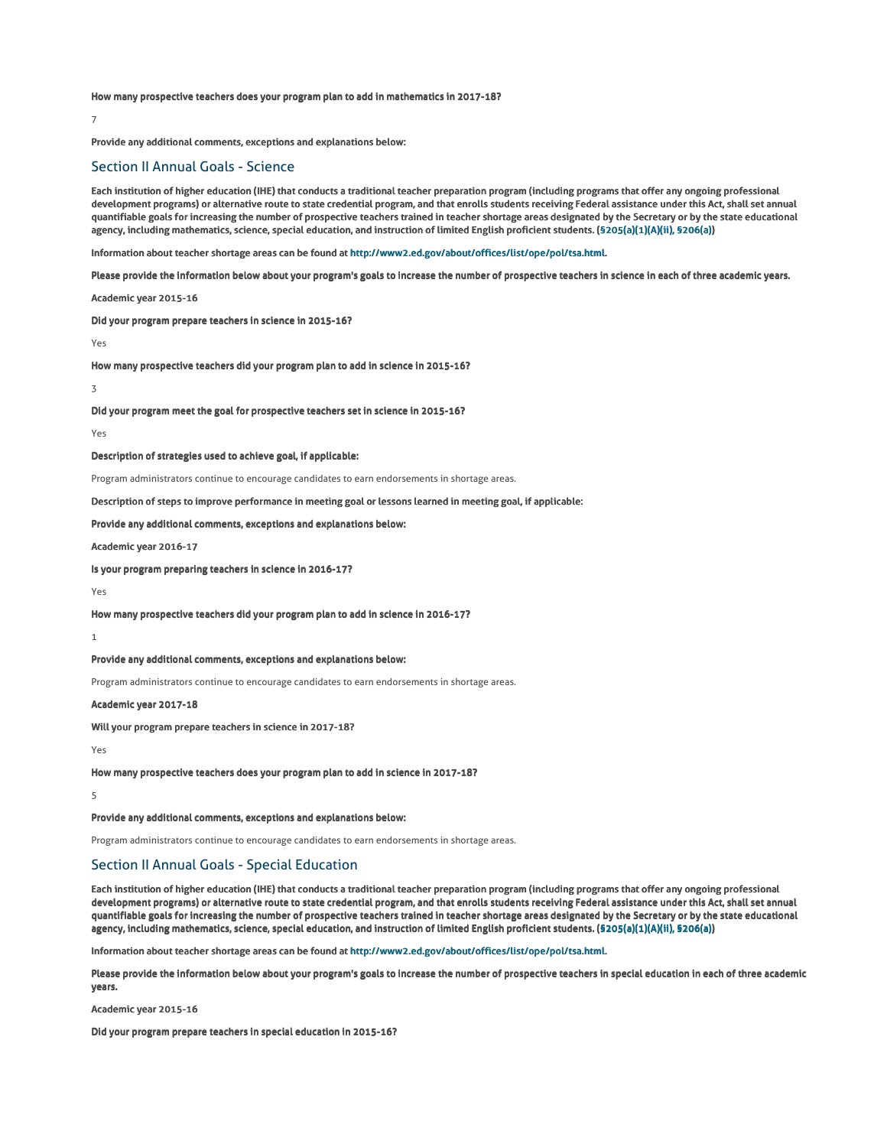How many prospective teachers does your program plan to add in mathematics in 2017-18?

## 7

Provide any additional comments, exceptions and explanations below:

# Section II Annual Goals - Science

Each institution of higher education (IHE) that conducts a traditional teacher preparation program (including programs that offer any ongoing professional development programs) or alternative route to state credential program, and that enrolls students receiving Federal assistance under this Act, shall set annual quantifiable goals for increasing the number of prospective teachers trained in teacher shortage areas designated by the Secretary or by the state educational agency, including mathematics, science, special education, and instruction of limited English proficient students. (§205(a)(1)(A)(ii), §206(a))

Information about teacher shortage areas can be found at http://www2.ed.gov/about/offices/list/ope/pol/tsa.html.

Please provide the information below about your program's goals to increase the number of prospective teachers in science in each of three academic years.

### Academic year 2015-16

Did your program prepare teachers in science in 2015-16?

#### Yes

How many prospective teachers did your program plan to add in science in 2015-16?

### $\overline{\mathbf{z}}$

Did your program meet the goal for prospective teachers set in science in 2015-16?

#### Yes

Description of strategies used to achieve goal, if applicable:

Program administrators continue to encourage candidates to earn endorsements in shortage areas.

## Description of steps to improve performance in meeting goal or lessons learned in meeting goal, if applicable:

Provide any additional comments, exceptions and explanations below:

## Academic year 2016-17

Is your program preparing teachers in science in 2016-17?

#### Yes

How many prospective teachers did your program plan to add in science in 2016-17?

#### 1

Provide any additional comments, exceptions and explanations below:

Program administrators continue to encourage candidates to earn endorsements in shortage areas.

#### Academic year 2017-18

Will your program prepare teachers in science in 2017-18?

### Yes

How many prospective teachers does your program plan to add in science in 2017-18?

## 5

Provide any additional comments, exceptions and explanations below:

Program administrators continue to encourage candidates to earn endorsements in shortage areas.

# Section II Annual Goals - Special Education

Each institution of higher education (IHE) that conducts a traditional teacher preparation program (including programs that offer any ongoing professional development programs) or alternative route to state credential program, and that enrolls students receiving Federal assistance under this Act, shall set annual quantifiable goals for increasing the number of prospective teachers trained in teacher shortage areas designated by the Secretary or by the state educational agency, including mathematics, science, special education, and instruction of limited English proficient students. (§205(a)(1)(A)(ii), §206(a))

Information about teacher shortage areas can be found at http://www2.ed.gov/about/offices/list/ope/pol/tsa.html.

Please provide the information below about your program's goals to increase the number of prospective teachers in special education in each of three academic years.

### Academic year 2015-16

Did your program prepare teachers in special education in 2015-16?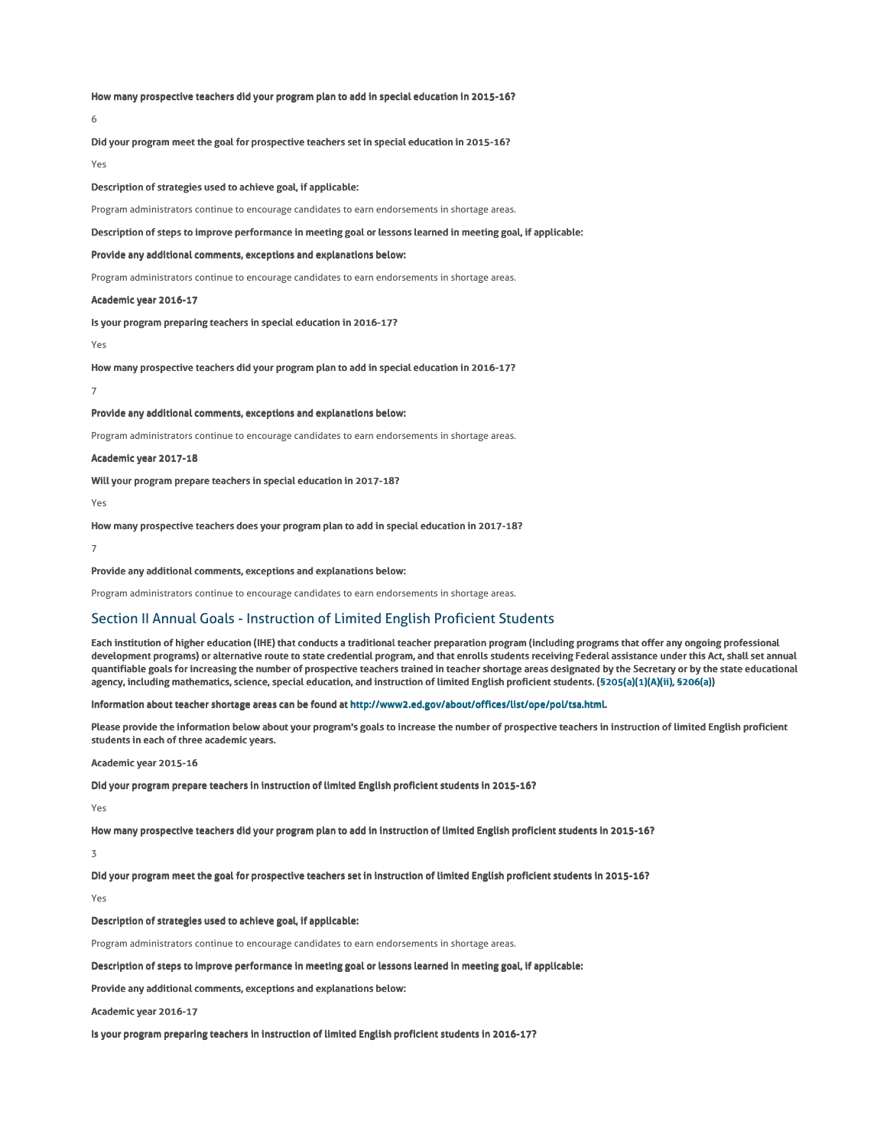How many prospective teachers did your program plan to add in special education in 2015-16?

6

Did your program meet the goal for prospective teachers set in special education in 2015-16?

Yes

Description of strategies used to achieve goal, if applicable:

Program administrators continue to encourage candidates to earn endorsements in shortage areas.

## Description of steps to improve performance in meeting goal or lessons learned in meeting goal, if applicable:

Provide any additional comments, exceptions and explanations below:

Program administrators continue to encourage candidates to earn endorsements in shortage areas.

## Academic year 2016-17

Is your program preparing teachers in special education in 2016-17?

Yes

How many prospective teachers did your program plan to add in special education in 2016-17?

7

Provide any additional comments, exceptions and explanations below:

Program administrators continue to encourage candidates to earn endorsements in shortage areas.

Academic year 2017-18

Will your program prepare teachers in special education in 2017-18?

Yes

How many prospective teachers does your program plan to add in special education in 2017-18?

7

### Provide any additional comments, exceptions and explanations below:

Program administrators continue to encourage candidates to earn endorsements in shortage areas.

# Section II Annual Goals - Instruction of Limited English Proficient Students

Each institution of higher education (IHE) that conducts a traditional teacher preparation program (including programs that offer any ongoing professional development programs) or alternative route to state credential program, and that enrolls students receiving Federal assistance under this Act, shall set annual quantifiable goals for increasing the number of prospective teachers trained in teacher shortage areas designated by the Secretary or by the state educational agency, including mathematics, science, special education, and instruction of limited English proficient students. (§205(a)(1)(A)(ii), §206(a))

Information about teacher shortage areas can be found at http://www2.ed.gov/about/offices/list/ope/pol/tsa.html.

Please provide the information below about your program's goals to increase the number of prospective teachers in instruction of limited English proficient students in each of three academic years.

## Academic year 2015-16

Did your program prepare teachers in instruction of limited English proficient students in 2015-16?

Yes

How many prospective teachers did your program plan to add in instruction of limited English proficient students in 2015-16?

3

Did your program meet the goal for prospective teachers set in instruction of limited English proficient students in 2015-16?

## Yes

Description of strategies used to achieve goal, if applicable:

Program administrators continue to encourage candidates to earn endorsements in shortage areas.

Description of steps to improve performance in meeting goal or lessons learned in meeting goal, if applicable:

Provide any additional comments, exceptions and explanations below:

Academic year 2016-17

Is your program preparing teachers in instruction of limited English proficient students in 2016-17?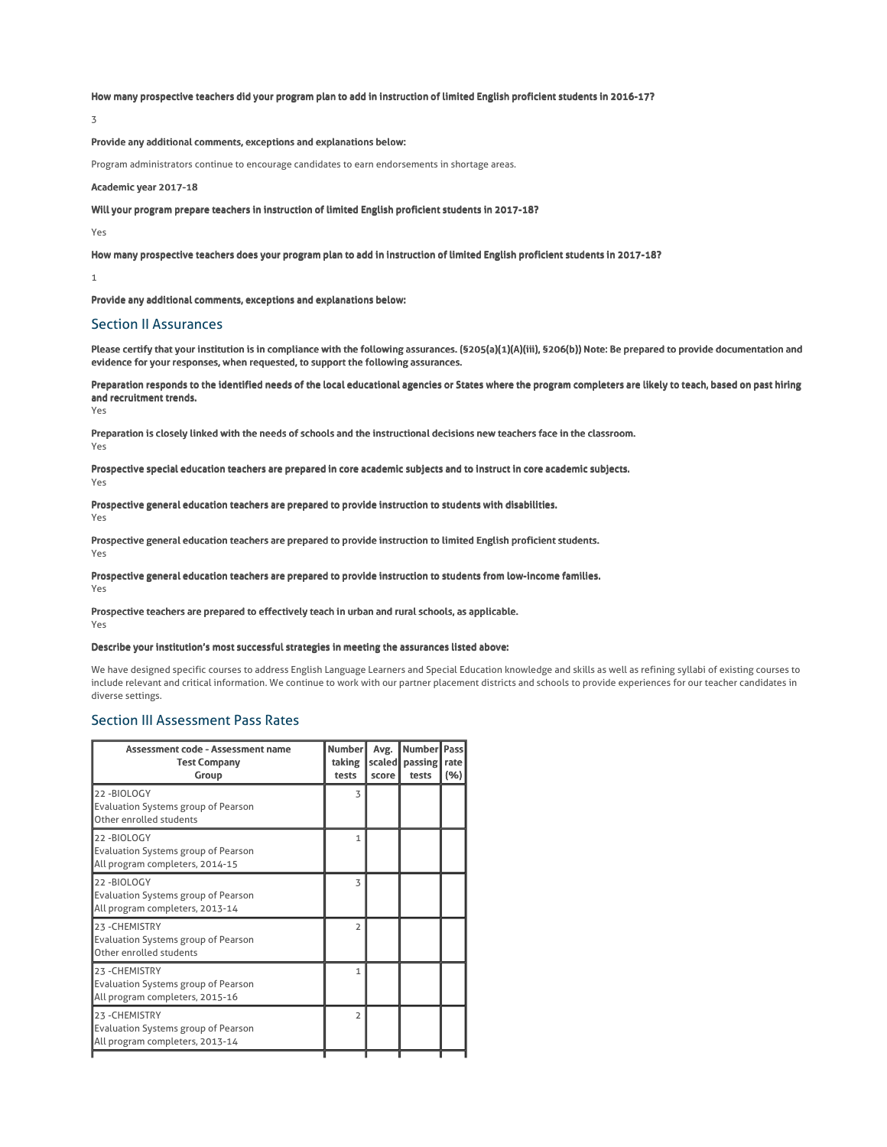## How many prospective teachers did your program plan to add in instruction of limited English proficient students in 2016-17?

3

# Provide any additional comments, exceptions and explanations below:

Program administrators continue to encourage candidates to earn endorsements in shortage areas.

## Academic year 2017-18

Will your program prepare teachers in instruction of limited English proficient students in 2017-18?

Yes

How many prospective teachers does your program plan to add in instruction of limited English proficient students in 2017-18?

1

Provide any additional comments, exceptions and explanations below:

# Section II Assurances

Please certify that your institution is in compliance with the following assurances. (§205(a)(1)(A)(iii), §206(b)) Note: Be prepared to provide documentation and evidence for your responses, when requested, to support the following assurances.

Preparation responds to the identified needs of the local educational agencies or States where the program completers are likely to teach, based on past hiring and recruitment trends.

Yes

Preparation is closely linked with the needs of schools and the instructional decisions new teachers face in the classroom. Yes

Prospective special education teachers are prepared in core academic subjects and to instruct in core academic subjects. Yes

Prospective general education teachers are prepared to provide instruction to students with disabilities. Yes

Prospective general education teachers are prepared to provide instruction to limited English proficient students. Yes

Prospective general education teachers are prepared to provide instruction to students from low-income families.

Yes

#### Prospective teachers are prepared to effectively teach in urban and rural schools, as applicable. Yes

## Describe your institution's most successful strategies in meeting the assurances listed above:

We have designed specific courses to address English Language Learners and Special Education knowledge and skills as well as refining syllabi of existing courses to include relevant and critical information. We continue to work with our partner placement districts and schools to provide experiences for our teacher candidates in diverse settings.

# Section III Assessment Pass Rates

| Assessment code - Assessment name<br><b>Test Company</b><br>Group                               | <b>Number</b><br>taking<br>tests | Avg.<br>scaled<br>score | <b>Number</b><br>passing<br>tests | <b>Pass</b><br>rate<br>(%) |
|-------------------------------------------------------------------------------------------------|----------------------------------|-------------------------|-----------------------------------|----------------------------|
| 22-BIOLOGY<br>Evaluation Systems group of Pearson<br>Other enrolled students                    | 3                                |                         |                                   |                            |
| 22-BIOLOGY<br><b>Evaluation Systems group of Pearson</b><br>All program completers, 2014-15     | $\mathbf{1}$                     |                         |                                   |                            |
| 22-BIOLOGY<br>Evaluation Systems group of Pearson<br>All program completers, 2013-14            | 3                                |                         |                                   |                            |
| 23 - CHEMISTRY<br>Evaluation Systems group of Pearson<br>Other enrolled students                | $\overline{2}$                   |                         |                                   |                            |
| 23-CHEMISTRY<br>Evaluation Systems group of Pearson<br>All program completers, 2015-16          | 1                                |                         |                                   |                            |
| 23 - CHEMISTRY<br><b>Evaluation Systems group of Pearson</b><br>All program completers, 2013-14 | $\overline{2}$                   |                         |                                   |                            |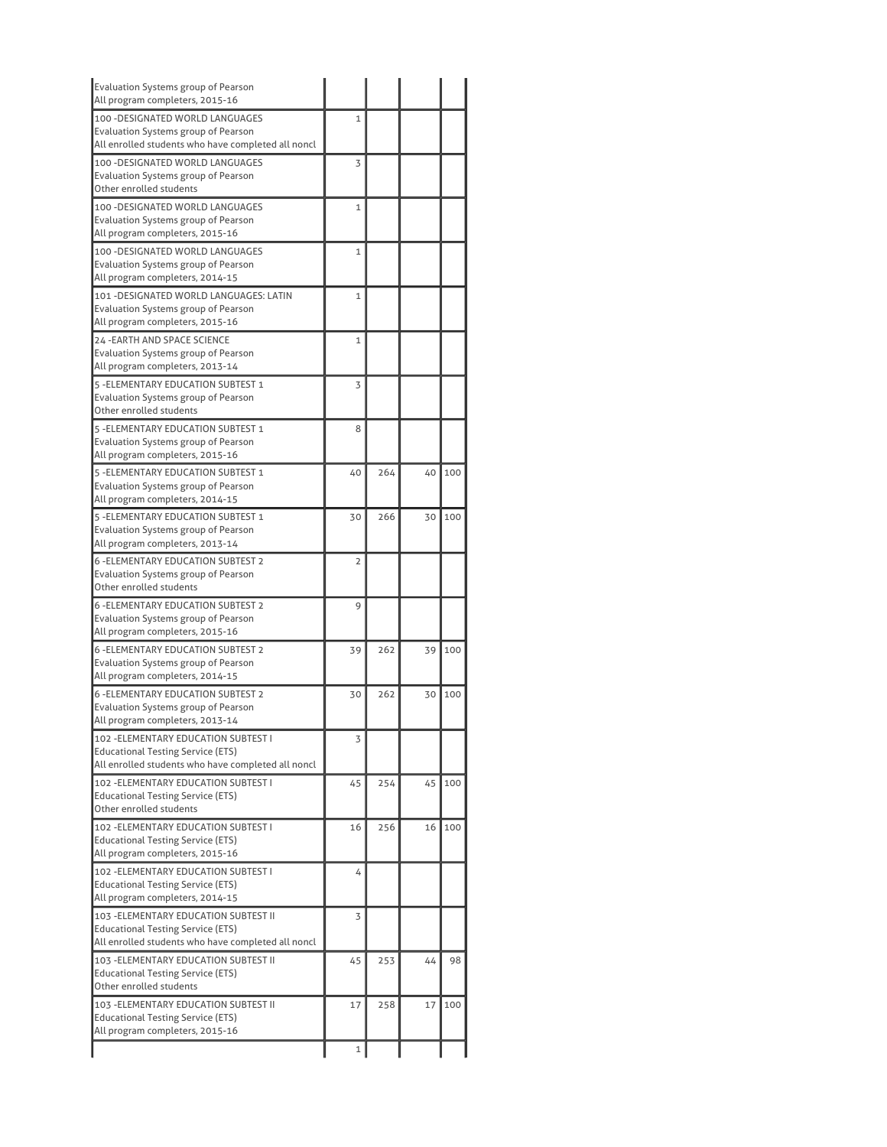| Evaluation Systems group of Pearson<br>All program completers, 2015-16                                            |                |     |    |     |
|-------------------------------------------------------------------------------------------------------------------|----------------|-----|----|-----|
| 100 - DESIGNATED WORLD LANGUAGES                                                                                  | $\mathbf{1}$   |     |    |     |
| Evaluation Systems group of Pearson<br>All enrolled students who have completed all noncl                         |                |     |    |     |
| 100 - DESIGNATED WORLD LANGUAGES<br><b>Evaluation Systems group of Pearson</b>                                    | 3              |     |    |     |
| Other enrolled students                                                                                           |                |     |    |     |
| 100 - DESIGNATED WORLD LANGUAGES<br>Evaluation Systems group of Pearson                                           | 1              |     |    |     |
| All program completers, 2015-16                                                                                   |                |     |    |     |
| 100 - DESIGNATED WORLD LANGUAGES<br>Evaluation Systems group of Pearson                                           | 1              |     |    |     |
| All program completers, 2014-15                                                                                   |                |     |    |     |
| 101 - DESIGNATED WORLD LANGUAGES: LATIN<br>Evaluation Systems group of Pearson<br>All program completers, 2015-16 | 1              |     |    |     |
| 24 - EARTH AND SPACE SCIENCE                                                                                      | $\mathbf{1}$   |     |    |     |
| Evaluation Systems group of Pearson<br>All program completers, 2013-14                                            |                |     |    |     |
| 5 - ELEMENTARY EDUCATION SUBTEST 1                                                                                | 3              |     |    |     |
| Evaluation Systems group of Pearson<br>Other enrolled students                                                    |                |     |    |     |
| 5 - ELEMENTARY EDUCATION SUBTEST 1                                                                                | 8              |     |    |     |
| Evaluation Systems group of Pearson<br>All program completers, 2015-16                                            |                |     |    |     |
| 5 - ELEMENTARY EDUCATION SUBTEST 1                                                                                | 40             | 264 | 40 | 100 |
| Evaluation Systems group of Pearson<br>All program completers, 2014-15                                            |                |     |    |     |
| 5 - ELEMENTARY EDUCATION SUBTEST 1                                                                                | 30             | 266 | 30 | 100 |
| Evaluation Systems group of Pearson                                                                               |                |     |    |     |
| All program completers, 2013-14                                                                                   |                |     |    |     |
| <b>6 - ELEMENTARY EDUCATION SUBTEST 2</b>                                                                         | $\overline{2}$ |     |    |     |
| Evaluation Systems group of Pearson<br>Other enrolled students                                                    |                |     |    |     |
| <b>6 -ELEMENTARY EDUCATION SUBTEST 2</b>                                                                          | 9              |     |    |     |
| Evaluation Systems group of Pearson                                                                               |                |     |    |     |
| All program completers, 2015-16                                                                                   |                |     |    |     |
| <b>6-FLEMENTARY EDUCATION SURTEST 2</b>                                                                           | 39             | 262 | 39 | 100 |
| Evaluation Systems group of Pearson                                                                               |                |     |    |     |
| All program completers, 2014-15                                                                                   |                |     |    |     |
| <b>6 - ELEMENTARY EDUCATION SUBTEST 2</b>                                                                         | 30             | 262 | 30 | 100 |
| Evaluation Systems group of Pearson<br>All program completers, 2013-14                                            |                |     |    |     |
| 102 - ELEMENTARY EDUCATION SUBTEST I                                                                              | 3              |     |    |     |
| <b>Educational Testing Service (ETS)</b>                                                                          |                |     |    |     |
| All enrolled students who have completed all noncl                                                                |                |     |    |     |
| 102 - ELEMENTARY EDUCATION SUBTEST I                                                                              | 45             | 254 | 45 | 100 |
| Educational Testing Service (ETS)<br>Other enrolled students                                                      |                |     |    |     |
| 102 - ELEMENTARY EDUCATION SUBTEST I                                                                              | 16             | 256 | 16 | 100 |
| Educational Testing Service (ETS)                                                                                 |                |     |    |     |
| All program completers, 2015-16                                                                                   |                |     |    |     |
| 102 - ELEMENTARY EDUCATION SUBTEST I                                                                              | 4              |     |    |     |
| Educational Testing Service (ETS)                                                                                 |                |     |    |     |
| All program completers, 2014-15                                                                                   |                |     |    |     |
| 103 - ELEMENTARY EDUCATION SUBTEST II<br><b>Educational Testing Service (ETS)</b>                                 | 3              |     |    |     |
| All enrolled students who have completed all noncl                                                                |                |     |    |     |
| 103 - ELEMENTARY EDUCATION SUBTEST II                                                                             | 45             | 253 | 44 | 98  |
| Educational Testing Service (ETS)                                                                                 |                |     |    |     |
| Other enrolled students                                                                                           |                |     |    |     |
| 103 - ELEMENTARY EDUCATION SUBTEST II                                                                             | 17             | 258 | 17 | 100 |
| Educational Testing Service (ETS)<br>All program completers, 2015-16                                              |                |     |    |     |
|                                                                                                                   |                |     |    |     |
|                                                                                                                   | 1              |     |    |     |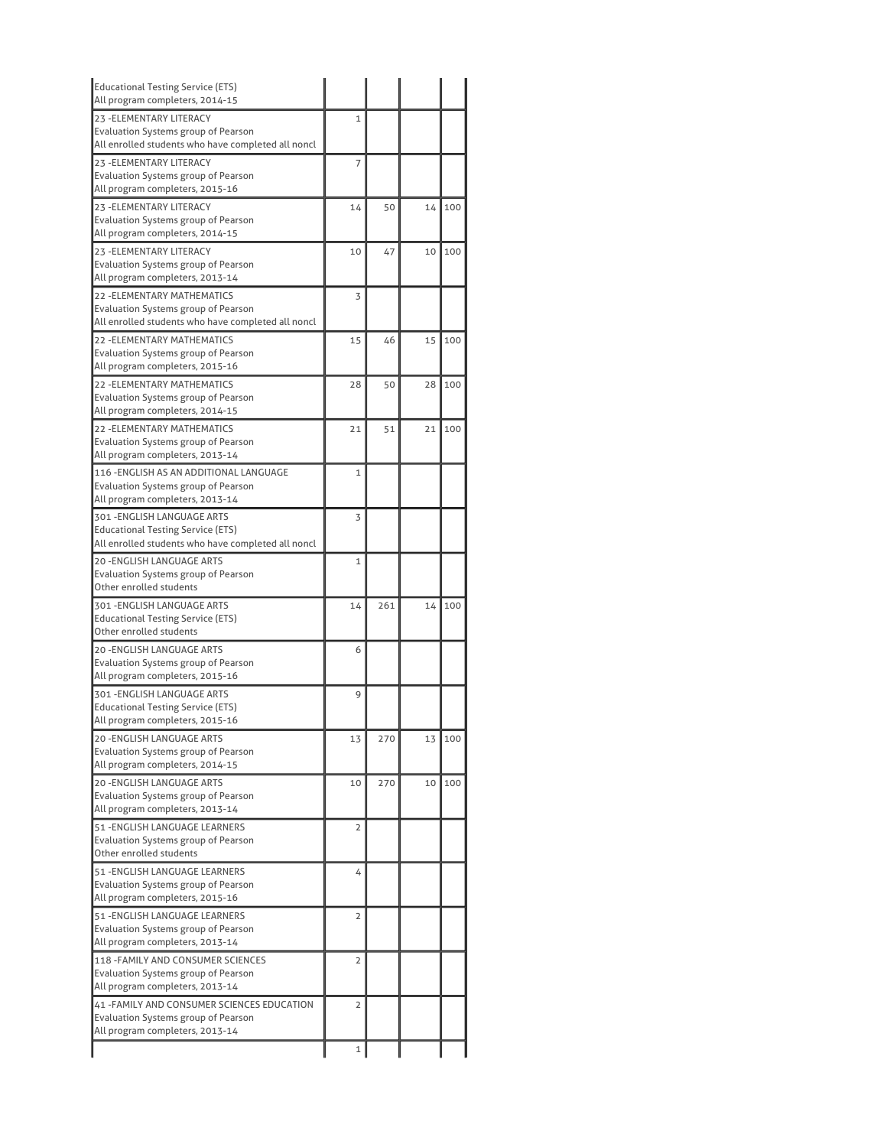| <b>Educational Testing Service (ETS)</b><br>All program completers, 2014-15                                              |                |     |    |     |
|--------------------------------------------------------------------------------------------------------------------------|----------------|-----|----|-----|
| 23 - ELEMENTARY LITERACY                                                                                                 | 1              |     |    |     |
| Evaluation Systems group of Pearson<br>All enrolled students who have completed all noncl                                |                |     |    |     |
| 23 - ELEMENTARY LITERACY                                                                                                 | 7              |     |    |     |
| <b>Evaluation Systems group of Pearson</b><br>All program completers, 2015-16                                            |                |     |    |     |
| 23 - ELEMENTARY LITERACY<br>Evaluation Systems group of Pearson                                                          | 14             | 50  | 14 | 100 |
| All program completers, 2014-15                                                                                          |                |     |    |     |
| 23 - ELEMENTARY LITERACY<br><b>Evaluation Systems group of Pearson</b>                                                   | 10             | 47  | 10 | 100 |
| All program completers, 2013-14                                                                                          |                |     |    |     |
| 22 - ELEMENTARY MATHEMATICS<br>Evaluation Systems group of Pearson<br>All enrolled students who have completed all noncl | 3              |     |    |     |
| 22 - ELEMENTARY MATHEMATICS<br>Evaluation Systems group of Pearson<br>All program completers, 2015-16                    | 15             | 46  | 15 | 100 |
| 22 - ELEMENTARY MATHEMATICS                                                                                              | 28             | 50  | 28 | 100 |
| <b>Evaluation Systems group of Pearson</b><br>All program completers, 2014-15                                            |                |     |    |     |
| <b>22 - ELEMENTARY MATHEMATICS</b>                                                                                       | 21             | 51  | 21 | 100 |
| Evaluation Systems group of Pearson<br>All program completers, 2013-14                                                   |                |     |    |     |
| 116 -ENGLISH AS AN ADDITIONAL LANGUAGE<br>Evaluation Systems group of Pearson                                            | $\mathbf{1}$   |     |    |     |
| All program completers, 2013-14                                                                                          |                |     |    |     |
| 301 - ENGLISH LANGUAGE ARTS<br>Educational Testing Service (ETS)<br>All enrolled students who have completed all noncl   | 3              |     |    |     |
| <b>20 -ENGLISH LANGUAGE ARTS</b>                                                                                         | 1              |     |    |     |
| Evaluation Systems group of Pearson                                                                                      |                |     |    |     |
| Other enrolled students                                                                                                  |                |     |    |     |
| 301 - ENGLISH LANGUAGE ARTS<br><b>Educational Testing Service (ETS)</b><br>Other enrolled students                       | 14             | 261 | 14 | 100 |
| 20 -ENGLISH LANGUAGE ARTS                                                                                                | 6              |     |    |     |
| <b>Evaluation Systems group of Pearson</b><br>All program completers, 2015-16                                            |                |     |    |     |
| 301 -ENGLISH LANGUAGE ARTS                                                                                               | 9              |     |    |     |
| Educational Testing Service (ETS)<br>All program completers, 2015-16                                                     |                |     |    |     |
| 20 - ENGLISH LANGUAGE ARTS                                                                                               | 13             | 270 | 13 | 100 |
| Evaluation Systems group of Pearson<br>All program completers, 2014-15                                                   |                |     |    |     |
| <b>20 -ENGLISH LANGUAGE ARTS</b>                                                                                         | 10             | 270 | 10 | 100 |
| Evaluation Systems group of Pearson<br>All program completers, 2013-14                                                   |                |     |    |     |
| 51 - ENGLISH LANGUAGE LEARNERS                                                                                           | 2              |     |    |     |
| <b>Evaluation Systems group of Pearson</b><br>Other enrolled students                                                    |                |     |    |     |
| 51 -ENGLISH LANGUAGE LEARNERS<br>Evaluation Systems group of Pearson                                                     | 4              |     |    |     |
| All program completers, 2015-16<br>51 - ENGLISH LANGUAGE LEARNERS                                                        | $\overline{2}$ |     |    |     |
| Evaluation Systems group of Pearson<br>All program completers, 2013-14                                                   |                |     |    |     |
| 118 - FAMILY AND CONSUMER SCIENCES                                                                                       | $\overline{2}$ |     |    |     |
| Evaluation Systems group of Pearson<br>All program completers, 2013-14                                                   |                |     |    |     |
| 41 - FAMILY AND CONSUMER SCIENCES EDUCATION<br>Evaluation Systems group of Pearson<br>All program completers, 2013-14    | 2              |     |    |     |
|                                                                                                                          | $\mathbf 1$    |     |    |     |
|                                                                                                                          |                |     |    |     |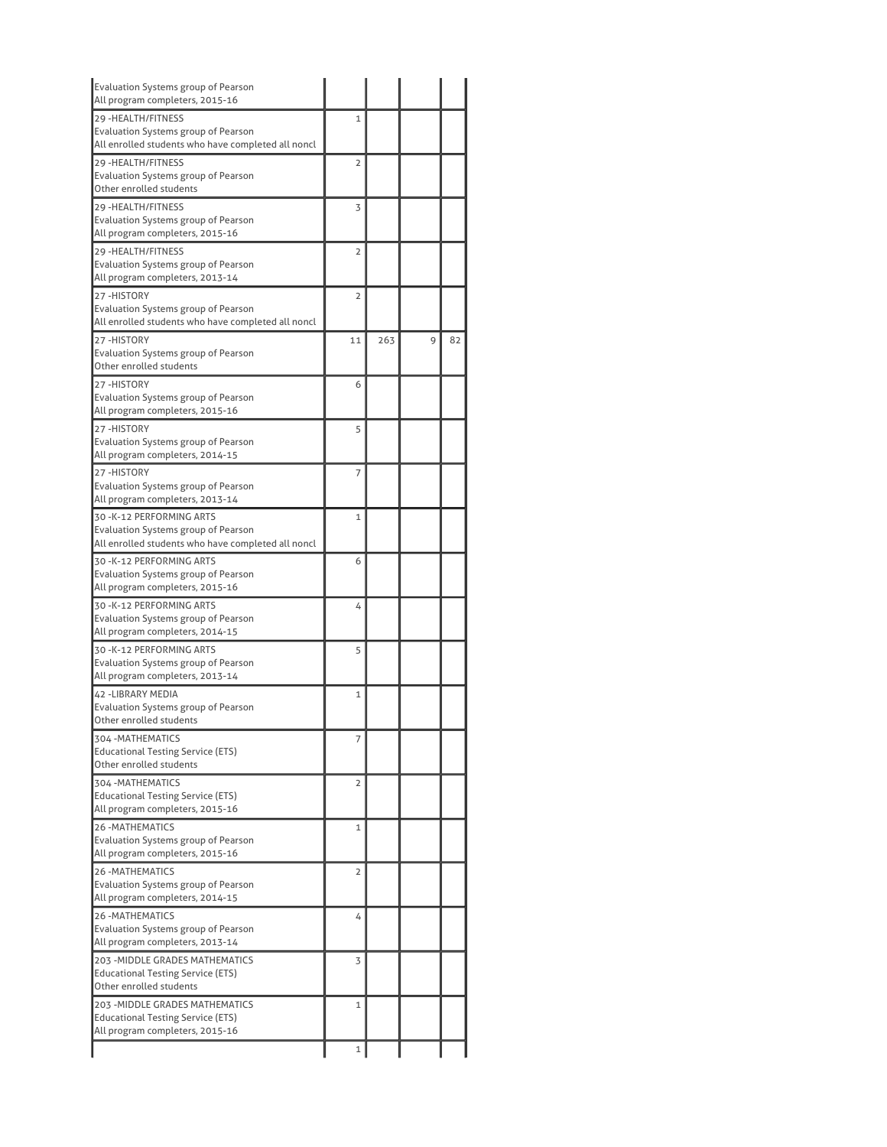| Evaluation Systems group of Pearson<br>All program completers, 2015-16                    |                |     |   |    |
|-------------------------------------------------------------------------------------------|----------------|-----|---|----|
| 29 - HEALTH/FITNESS                                                                       | 1              |     |   |    |
| Evaluation Systems group of Pearson<br>All enrolled students who have completed all noncl |                |     |   |    |
| 29 - HEALTH/FITNESS                                                                       | $\overline{2}$ |     |   |    |
| Evaluation Systems group of Pearson                                                       |                |     |   |    |
| Other enrolled students                                                                   |                |     |   |    |
| 29 - HEALTH/FITNESS<br><b>Evaluation Systems group of Pearson</b>                         | 3              |     |   |    |
| All program completers, 2015-16                                                           |                |     |   |    |
| 29 - HEALTH/FITNESS                                                                       | $\overline{2}$ |     |   |    |
| Evaluation Systems group of Pearson                                                       |                |     |   |    |
| All program completers, 2013-14                                                           |                |     |   |    |
| 27-HISTORY                                                                                | $\overline{2}$ |     |   |    |
| Evaluation Systems group of Pearson<br>All enrolled students who have completed all noncl |                |     |   |    |
| 27-HISTORY                                                                                | 11             | 263 | 9 | 82 |
| Evaluation Systems group of Pearson                                                       |                |     |   |    |
| Other enrolled students                                                                   |                |     |   |    |
| 27-HISTORY                                                                                | 6              |     |   |    |
| Evaluation Systems group of Pearson                                                       |                |     |   |    |
| All program completers, 2015-16                                                           |                |     |   |    |
| 27-HISTORY                                                                                | 5              |     |   |    |
| Evaluation Systems group of Pearson                                                       |                |     |   |    |
| All program completers, 2014-15                                                           |                |     |   |    |
| 27-HISTORY                                                                                | 7              |     |   |    |
| Evaluation Systems group of Pearson                                                       |                |     |   |    |
| All program completers, 2013-14                                                           |                |     |   |    |
| 30 - K-12 PERFORMING ARTS                                                                 | $\mathbf{1}$   |     |   |    |
| Evaluation Systems group of Pearson                                                       |                |     |   |    |
| All enrolled students who have completed all noncl                                        |                |     |   |    |
| 30 - K-12 PERFORMING ARTS                                                                 | 6              |     |   |    |
| Evaluation Systems group of Pearson                                                       |                |     |   |    |
| All program completers, 2015-16                                                           |                |     |   |    |
| 30 -K-12 PERFORMING ARTS                                                                  | 4              |     |   |    |
| Evaluation Systems group of Pearson<br>All program completers, 2014-15                    |                |     |   |    |
|                                                                                           |                |     |   |    |
| 30 - K-12 PERFORMING ARTS<br>Evaluation Systems group of Pearson                          | 5              |     |   |    |
| All program completers, 2013-14                                                           |                |     |   |    |
| 42 -LIBRARY MEDIA                                                                         | 1              |     |   |    |
| Evaluation Systems group of Pearson                                                       |                |     |   |    |
| Other enrolled students                                                                   |                |     |   |    |
| 304 - MATHEMATICS                                                                         | 7              |     |   |    |
| <b>Educational Testing Service (ETS)</b>                                                  |                |     |   |    |
| Other enrolled students                                                                   |                |     |   |    |
| 304 - MATHEMATICS                                                                         | 2              |     |   |    |
| Educational Testing Service (ETS)                                                         |                |     |   |    |
| All program completers, 2015-16                                                           |                |     |   |    |
| <b>26 -MATHEMATICS</b>                                                                    | $\mathbf{1}$   |     |   |    |
| Evaluation Systems group of Pearson                                                       |                |     |   |    |
| All program completers, 2015-16                                                           |                |     |   |    |
| <b>26 - MATHEMATICS</b>                                                                   | $\overline{2}$ |     |   |    |
| Evaluation Systems group of Pearson                                                       |                |     |   |    |
| All program completers, 2014-15                                                           |                |     |   |    |
| <b>26 -MATHEMATICS</b>                                                                    | 4              |     |   |    |
| Evaluation Systems group of Pearson<br>All program completers, 2013-14                    |                |     |   |    |
|                                                                                           |                |     |   |    |
| 203 - MIDDLE GRADES MATHEMATICS<br><b>Educational Testing Service (ETS)</b>               | 3              |     |   |    |
| Other enrolled students                                                                   |                |     |   |    |
| 203 - MIDDLE GRADES MATHEMATICS                                                           | 1              |     |   |    |
| Educational Testing Service (ETS)                                                         |                |     |   |    |
| All program completers, 2015-16                                                           |                |     |   |    |
|                                                                                           | $\mathbf 1$    |     |   |    |
|                                                                                           |                |     |   |    |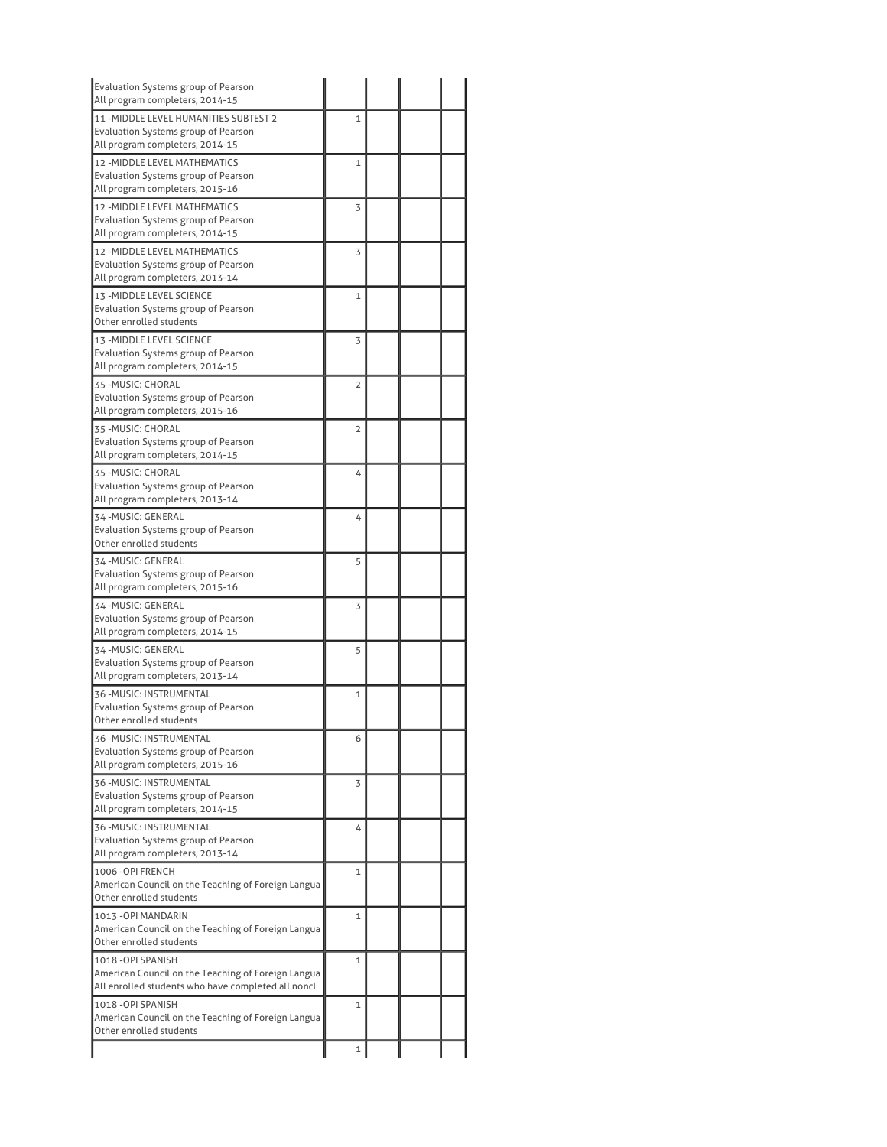| Evaluation Systems group of Pearson<br>All program completers, 2014-15                                                         |                |  |  |
|--------------------------------------------------------------------------------------------------------------------------------|----------------|--|--|
| 11 - MIDDLE LEVEL HUMANITIES SUBTEST 2<br>Evaluation Systems group of Pearson                                                  | 1              |  |  |
| All program completers, 2014-15                                                                                                |                |  |  |
| 12 - MIDDLE LEVEL MATHEMATICS<br>Evaluation Systems group of Pearson                                                           | 1              |  |  |
| All program completers, 2015-16<br>12 - MIDDLE LEVEL MATHEMATICS<br>Evaluation Systems group of Pearson                        | 3              |  |  |
| All program completers, 2014-15                                                                                                |                |  |  |
| 12 - MIDDLE LEVEL MATHEMATICS<br>Evaluation Systems group of Pearson<br>All program completers, 2013-14                        | 3              |  |  |
| 13 - MIDDLE LEVEL SCIENCE<br><b>Evaluation Systems group of Pearson</b><br>Other enrolled students                             | 1              |  |  |
| 13 - MIDDLE LEVEL SCIENCE<br>Evaluation Systems group of Pearson<br>All program completers, 2014-15                            | 3              |  |  |
| 35 - MUSIC: CHORAL<br>Evaluation Systems group of Pearson<br>All program completers, 2015-16                                   | $\overline{2}$ |  |  |
| 35 - MUSIC: CHORAL<br>Evaluation Systems group of Pearson<br>All program completers, 2014-15                                   | $\overline{2}$ |  |  |
| 35 - MUSIC: CHORAL<br><b>Evaluation Systems group of Pearson</b><br>All program completers, 2013-14                            | 4              |  |  |
| 34 - MUSIC: GENERAL<br><b>Evaluation Systems group of Pearson</b><br>Other enrolled students                                   | 4              |  |  |
| 34 - MUSIC: GENERAL<br><b>Evaluation Systems group of Pearson</b><br>All program completers, 2015-16                           | 5              |  |  |
| 34 - MUSIC: GENERAL<br>Evaluation Systems group of Pearson<br>All program completers, 2014-15                                  | 3              |  |  |
| 34 - MUSIC: GENERAL<br>Evaluation Systems group of Pearson<br>All program completers, 2013-14                                  | 5              |  |  |
| 36 - MUSIC: INSTRUMENTAL<br><b>Evaluation Systems group of Pearson</b><br>Other enrolled students                              | $\mathbf 1$    |  |  |
| 36 - MUSIC: INSTRUMENTAL<br><b>Evaluation Systems group of Pearson</b><br>All program completers, 2015-16                      | 6              |  |  |
| 36 - MUSIC: INSTRUMENTAL<br>Evaluation Systems group of Pearson<br>All program completers, 2014-15                             | 3              |  |  |
| 36 - MUSIC: INSTRUMENTAL<br>Evaluation Systems group of Pearson<br>All program completers, 2013-14                             | 4              |  |  |
| 1006 - OPI FRENCH<br>American Council on the Teaching of Foreign Langua<br>Other enrolled students                             | 1              |  |  |
| 1013 - OPI MANDARIN<br>American Council on the Teaching of Foreign Langua<br>Other enrolled students                           | $\mathbf{1}$   |  |  |
| 1018 - OPI SPANISH<br>American Council on the Teaching of Foreign Langua<br>All enrolled students who have completed all noncl | 1              |  |  |
| 1018 - OPI SPANISH<br>American Council on the Teaching of Foreign Langua                                                       | $\mathbf{1}$   |  |  |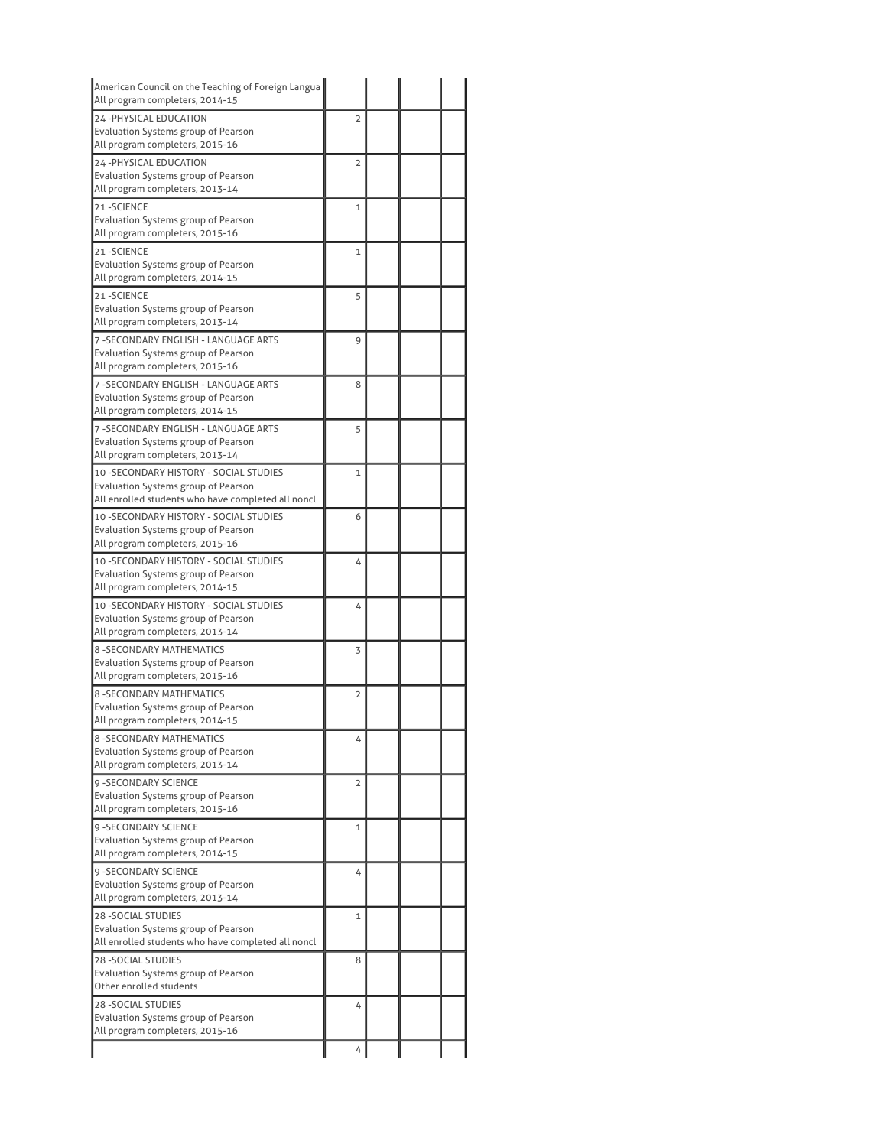| American Council on the Teaching of Foreign Langua<br>All program completers, 2014-15     |                |  |  |
|-------------------------------------------------------------------------------------------|----------------|--|--|
| 24-PHYSICAL EDUCATION                                                                     | $\overline{2}$ |  |  |
| Evaluation Systems group of Pearson                                                       |                |  |  |
| All program completers, 2015-16                                                           |                |  |  |
| 24-PHYSICAL EDUCATION                                                                     | $\overline{2}$ |  |  |
| Evaluation Systems group of Pearson                                                       |                |  |  |
| All program completers, 2013-14                                                           |                |  |  |
| 21-SCIENCE                                                                                | 1              |  |  |
| Evaluation Systems group of Pearson<br>All program completers, 2015-16                    |                |  |  |
| 21-SCIENCE                                                                                | 1              |  |  |
| Evaluation Systems group of Pearson                                                       |                |  |  |
| All program completers, 2014-15                                                           |                |  |  |
| 21-SCIENCE                                                                                | 5              |  |  |
| Evaluation Systems group of Pearson                                                       |                |  |  |
| All program completers, 2013-14                                                           |                |  |  |
| 7 - SECONDARY ENGLISH - LANGUAGE ARTS                                                     | 9              |  |  |
| Evaluation Systems group of Pearson<br>All program completers, 2015-16                    |                |  |  |
| 7 - SECONDARY ENGLISH - LANGUAGE ARTS                                                     | 8              |  |  |
| Evaluation Systems group of Pearson                                                       |                |  |  |
| All program completers, 2014-15                                                           |                |  |  |
| 7 -SECONDARY ENGLISH - LANGUAGE ARTS                                                      | 5              |  |  |
| Evaluation Systems group of Pearson                                                       |                |  |  |
| All program completers, 2013-14                                                           |                |  |  |
| 10 - SECONDARY HISTORY - SOCIAL STUDIES                                                   | $\mathbf{1}$   |  |  |
| Evaluation Systems group of Pearson<br>All enrolled students who have completed all noncl |                |  |  |
|                                                                                           |                |  |  |
| 10 - SECONDARY HISTORY - SOCIAL STUDIES<br>Evaluation Systems group of Pearson            | 6              |  |  |
| All program completers, 2015-16                                                           |                |  |  |
| 10 - SECONDARY HISTORY - SOCIAL STUDIES                                                   | 4              |  |  |
| Evaluation Systems group of Pearson                                                       |                |  |  |
| All program completers, 2014-15                                                           |                |  |  |
| 10 - SECONDARY HISTORY - SOCIAL STUDIES                                                   | 4              |  |  |
| Evaluation Systems group of Pearson                                                       |                |  |  |
| All program completers, 2013-14                                                           |                |  |  |
| <b>8 - SECONDARY MATHEMATICS</b>                                                          | 3              |  |  |
| Evaluation Systems group of Pearson<br>All program completers, 2015-16                    |                |  |  |
| 8-SECONDARY MATHEMATICS                                                                   | 2              |  |  |
| Evaluation Systems group of Pearson                                                       |                |  |  |
| All program completers, 2014-15                                                           |                |  |  |
| 8-SECONDARY MATHEMATICS                                                                   | 4              |  |  |
| Evaluation Systems group of Pearson                                                       |                |  |  |
| All program completers, 2013-14                                                           |                |  |  |
| 9 - SECONDARY SCIENCE                                                                     | $\overline{2}$ |  |  |
| <b>Evaluation Systems group of Pearson</b><br>All program completers, 2015-16             |                |  |  |
| <b>9 - SECONDARY SCIENCE</b>                                                              |                |  |  |
| Evaluation Systems group of Pearson                                                       | 1              |  |  |
| All program completers, 2014-15                                                           |                |  |  |
| <b>9 - SECONDARY SCIENCE</b>                                                              | 4              |  |  |
| Evaluation Systems group of Pearson                                                       |                |  |  |
| All program completers, 2013-14                                                           |                |  |  |
| 28 - SOCIAL STUDIES                                                                       | $\mathbf{1}$   |  |  |
| Evaluation Systems group of Pearson                                                       |                |  |  |
| All enrolled students who have completed all noncl                                        |                |  |  |
| <b>28 - SOCIAL STUDIES</b>                                                                | 8              |  |  |
| Evaluation Systems group of Pearson<br>Other enrolled students                            |                |  |  |
| <b>28 - SOCIAL STUDIES</b>                                                                | 4              |  |  |
| Evaluation Systems group of Pearson                                                       |                |  |  |
| All program completers, 2015-16                                                           |                |  |  |
|                                                                                           | 4              |  |  |
|                                                                                           |                |  |  |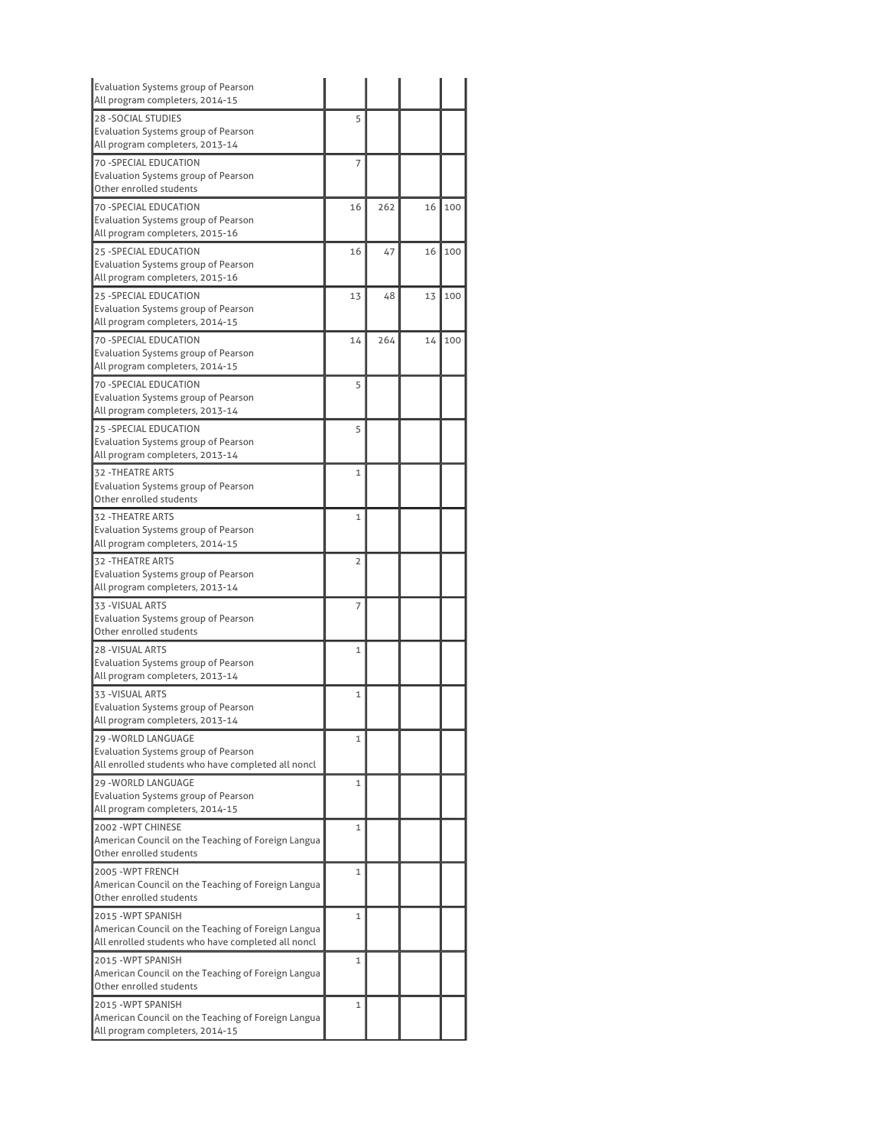| <b>Evaluation Systems group of Pearson</b><br>All program completers, 2014-15                            |                |     |    |     |
|----------------------------------------------------------------------------------------------------------|----------------|-----|----|-----|
| <b>28 - SOCIAL STUDIES</b>                                                                               | 5              |     |    |     |
| Evaluation Systems group of Pearson<br>All program completers, 2013-14                                   |                |     |    |     |
| <b>70 - SPECIAL EDUCATION</b><br>Evaluation Systems group of Pearson                                     | 7              |     |    |     |
| Other enrolled students                                                                                  |                |     |    |     |
| <b>70 -SPECIAL EDUCATION</b><br>Evaluation Systems group of Pearson                                      | 16             | 262 | 16 | 100 |
| All program completers, 2015-16                                                                          |                |     |    |     |
| <b>25 -SPECIAL EDUCATION</b><br>Evaluation Systems group of Pearson<br>All program completers, 2015-16   | 16             | 47  | 16 | 100 |
| 25 - SPECIAL EDUCATION                                                                                   | 13             | 48  | 13 | 100 |
| Evaluation Systems group of Pearson<br>All program completers, 2014-15                                   |                |     |    |     |
| <b>70 -SPECIAL EDUCATION</b>                                                                             | 14             | 264 | 14 | 100 |
| Evaluation Systems group of Pearson                                                                      |                |     |    |     |
| All program completers, 2014-15                                                                          |                |     |    |     |
| 70 - SPECIAL EDUCATION<br>Evaluation Systems group of Pearson                                            | 5              |     |    |     |
| All program completers, 2013-14                                                                          |                |     |    |     |
| 25 - SPECIAL EDUCATION                                                                                   | 5              |     |    |     |
| <b>Evaluation Systems group of Pearson</b>                                                               |                |     |    |     |
| All program completers, 2013-14                                                                          |                |     |    |     |
| <b>32 - THEATRE ARTS</b>                                                                                 | $\mathbf{1}$   |     |    |     |
| Evaluation Systems group of Pearson                                                                      |                |     |    |     |
| Other enrolled students                                                                                  |                |     |    |     |
| 32 - THEATRE ARTS                                                                                        | $\mathbf{1}$   |     |    |     |
| Evaluation Systems group of Pearson<br>All program completers, 2014-15                                   |                |     |    |     |
| <b>32 - THEATRE ARTS</b>                                                                                 | $\overline{2}$ |     |    |     |
| Evaluation Systems group of Pearson                                                                      |                |     |    |     |
| All program completers, 2013-14                                                                          |                |     |    |     |
| 33 - VISUAL ARTS                                                                                         | 7              |     |    |     |
| Evaluation Systems group of Pearson                                                                      |                |     |    |     |
| Other enrolled students                                                                                  |                |     |    |     |
| <b>28 - VISUAL ARTS</b><br>Evaluation Systems group of Pearson                                           | $\mathbf{1}$   |     |    |     |
| All program completers, 2013-14                                                                          |                |     |    |     |
| 33 - VISUAL ARTS                                                                                         | 1              |     |    |     |
| <b>Evaluation Systems group of Pearson</b>                                                               |                |     |    |     |
| All program completers, 2013-14                                                                          |                |     |    |     |
| 29 - WORLD LANGUAGE                                                                                      | 1              |     |    |     |
| Evaluation Systems group of Pearson                                                                      |                |     |    |     |
| All enrolled students who have completed all noncl                                                       |                |     |    |     |
| 29 - WORLD LANGUAGE<br><b>Evaluation Systems group of Pearson</b>                                        | 1              |     |    |     |
| All program completers, 2014-15                                                                          |                |     |    |     |
| 2002 - WPT CHINESE                                                                                       | 1              |     |    |     |
| American Council on the Teaching of Foreign Langua                                                       |                |     |    |     |
| Other enrolled students                                                                                  |                |     |    |     |
| 2005 - WPT FRENCH                                                                                        | 1              |     |    |     |
| American Council on the Teaching of Foreign Langua                                                       |                |     |    |     |
| Other enrolled students                                                                                  |                |     |    |     |
| 2015 - WPT SPANISH                                                                                       | 1              |     |    |     |
| American Council on the Teaching of Foreign Langua<br>All enrolled students who have completed all noncl |                |     |    |     |
| 2015 - WPT SPANISH                                                                                       | 1              |     |    |     |
| American Council on the Teaching of Foreign Langua                                                       |                |     |    |     |
| Other enrolled students                                                                                  |                |     |    |     |
| 2015 - WPT SPANISH                                                                                       | 1              |     |    |     |
| American Council on the Teaching of Foreign Langua                                                       |                |     |    |     |
| All program completers, 2014-15                                                                          |                |     |    |     |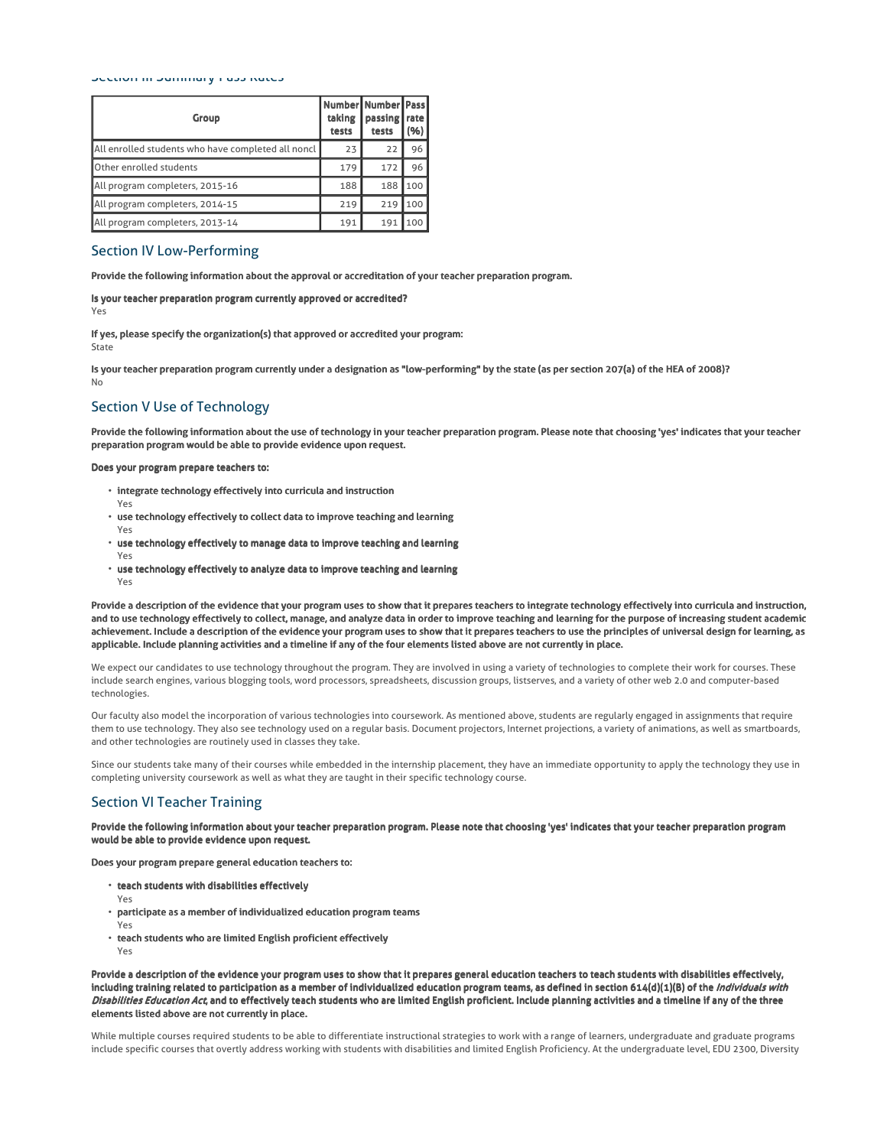#### Section III Summary Pass Rates

| Group                                              | taking<br>tests | Number Number Pass<br>passing  <br>tests | rate<br>(% ) |
|----------------------------------------------------|-----------------|------------------------------------------|--------------|
| All enrolled students who have completed all noncl | 23              | 22                                       | 96           |
| Other enrolled students                            | 179             | 172                                      | 96           |
| All program completers, 2015-16                    | 188             | 188                                      | 100          |
| All program completers, 2014-15                    | 219             | 219                                      | 100          |
| All program completers, 2013-14                    | 191             | 191                                      | 100          |

# Section IV Low-Performing

Provide the following information about the approval or accreditation of your teacher preparation program.

Is your teacher preparation program currently approved or accredited? Yes

If yes, please specify the organization(s) that approved or accredited your program: State

Is your teacher preparation program currently under a designation as "low-performing" by the state (as per section 207(a) of the HEA of 2008)? No

# Section V Use of Technology

Provide the following information about the use of technology in your teacher preparation program. Please note that choosing 'yes' indicates that your teacher preparation program would be able to provide evidence upon request.

### Does your program prepare teachers to:

- $\cdot$  integrate technology effectively into curricula and instruction
- Yes
- $\cdot$  use technology effectively to collect data to improve teaching and learning
- Yes
- use technology effectively to manage data to improve teaching and learning Yes
- use technology effectively to analyze data to improve teaching and learning
- Yes

Provide a description of the evidence that your program uses to show that it prepares teachers to integrate technology effectively into curricula and instruction, and to use technology effectively to collect, manage, and analyze data in order to improve teaching and learning for the purpose of increasing student academic achievement. Include a description of the evidence your program uses to show that it prepares teachers to use the principles of universal design for learning, as applicable. Include planning activities and a timeline if any of the four elements listed above are not currently in place.

We expect our candidates to use technology throughout the program. They are involved in using a variety of technologies to complete their work for courses. These include search engines, various blogging tools, word processors, spreadsheets, discussion groups, listserves, and a variety of other web 2.0 and computer-based technologies.

Our faculty also model the incorporation of various technologies into coursework. As mentioned above, students are regularly engaged in assignments that require them to use technology. They also see technology used on a regular basis. Document projectors, Internet projections, a variety of animations, as well as smartboards, and other technologies are routinely used in classes they take.

Since our students take many of their courses while embedded in the internship placement, they have an immediate opportunity to apply the technology they use in completing university coursework as well as what they are taught in their specific technology course.

# Section VI Teacher Training

Provide the following information about your teacher preparation program. Please note that choosing 'yes' indicates that your teacher preparation program would be able to provide evidence upon request.

Does your program prepare general education teachers to:

- $\cdot$  teach students with disabilities effectively
- Yes
- $\cdot$  participate as a member of individualized education program teams
- Yes Yes
- $\cdot$  teach students who are limited English proficient effectively

Provide a description of the evidence your program uses to show that it prepares general education teachers to teach students with disabilities effectively, including training related to participation as a member of individualized education program teams, as defined in section 614(d)(1)(B) of the *Individuals with* Disabilities Education Act, and to effectively teach students who are limited English proficient. Include planning activities and a timeline if any of the three elements listed above are not currently in place.

While multiple courses required students to be able to differentiate instructional strategies to work with a range of learners, undergraduate and graduate programs include specific courses that overtly address working with students with disabilities and limited English Proficiency. At the undergraduate level, EDU 2300, Diversity